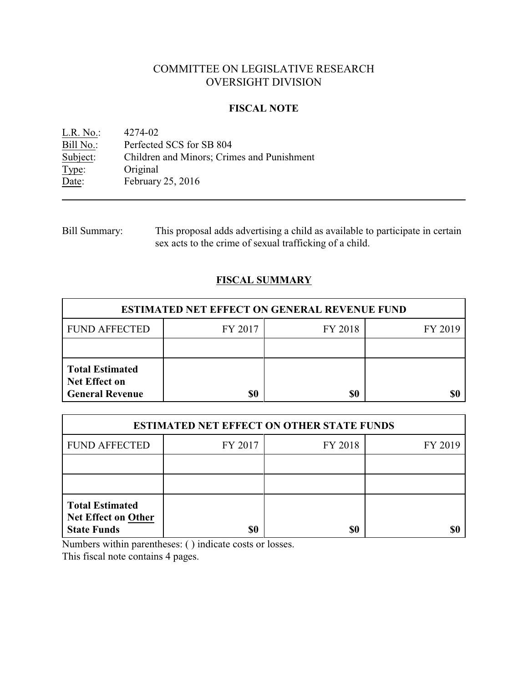# COMMITTEE ON LEGISLATIVE RESEARCH OVERSIGHT DIVISION

### **FISCAL NOTE**

<u>L.R. No.</u>: 4274-02<br>Bill No.: Perfected Bill No.: Perfected SCS for SB 804<br>Subject: Children and Minors; Crim Subject: Children and Minors; Crimes and Punishment<br>Type: Original Type: Original<br>Date: February February 25, 2016

| <b>Bill Summary:</b> | This proposal adds advertising a child as available to participate in certain |
|----------------------|-------------------------------------------------------------------------------|
|                      | sex acts to the crime of sexual trafficking of a child.                       |

## **FISCAL SUMMARY**

| <b>ESTIMATED NET EFFECT ON GENERAL REVENUE FUND</b>                      |         |         |         |  |  |
|--------------------------------------------------------------------------|---------|---------|---------|--|--|
| <b>FUND AFFECTED</b>                                                     | FY 2017 | FY 2018 | FY 2019 |  |  |
|                                                                          |         |         |         |  |  |
| <b>Total Estimated</b><br><b>Net Effect on</b><br><b>General Revenue</b> | \$0     | \$0     |         |  |  |

| <b>ESTIMATED NET EFFECT ON OTHER STATE FUNDS</b>                           |         |         |         |  |  |
|----------------------------------------------------------------------------|---------|---------|---------|--|--|
| <b>FUND AFFECTED</b>                                                       | FY 2017 | FY 2018 | FY 2019 |  |  |
|                                                                            |         |         |         |  |  |
|                                                                            |         |         |         |  |  |
| <b>Total Estimated</b><br><b>Net Effect on Other</b><br><b>State Funds</b> | \$0     | \$0     |         |  |  |

Numbers within parentheses: ( ) indicate costs or losses.

This fiscal note contains 4 pages.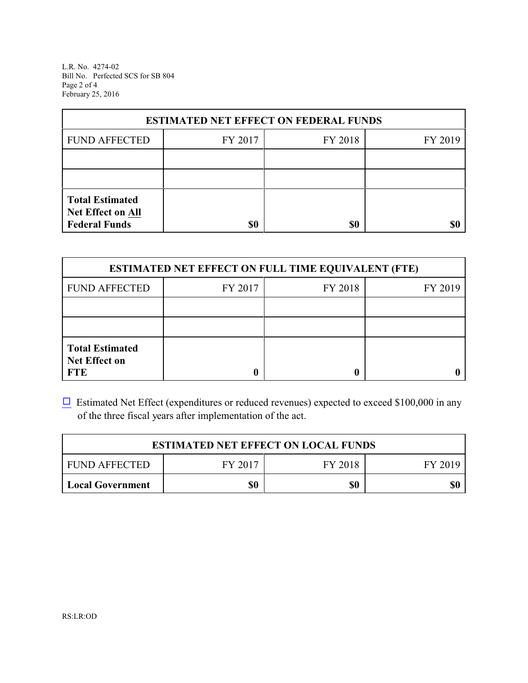L.R. No. 4274-02 Bill No. Perfected SCS for SB 804 Page 2 of 4 February 25, 2016

| <b>ESTIMATED NET EFFECT ON FEDERAL FUNDS</b>                        |         |         |         |  |  |
|---------------------------------------------------------------------|---------|---------|---------|--|--|
| <b>FUND AFFECTED</b>                                                | FY 2017 | FY 2018 | FY 2019 |  |  |
|                                                                     |         |         |         |  |  |
|                                                                     |         |         |         |  |  |
| <b>Total Estimated</b><br>Net Effect on All<br><b>Federal Funds</b> | \$0     | \$0     |         |  |  |

| <b>ESTIMATED NET EFFECT ON FULL TIME EQUIVALENT (FTE)</b>    |         |         |         |  |  |
|--------------------------------------------------------------|---------|---------|---------|--|--|
| <b>FUND AFFECTED</b>                                         | FY 2017 | FY 2018 | FY 2019 |  |  |
|                                                              |         |         |         |  |  |
|                                                              |         |         |         |  |  |
| <b>Total Estimated</b><br><b>Net Effect on</b><br><b>FTE</b> |         |         |         |  |  |

 $\Box$  Estimated Net Effect (expenditures or reduced revenues) expected to exceed \$100,000 in any of the three fiscal years after implementation of the act.

| <b>ESTIMATED NET EFFECT ON LOCAL FUNDS</b>            |  |  |  |  |  |
|-------------------------------------------------------|--|--|--|--|--|
| FY 2018<br><b>FUND AFFECTED</b><br>FY 2017<br>FY 2019 |  |  |  |  |  |
| \$0<br>\$0<br>\$0<br>Local Government                 |  |  |  |  |  |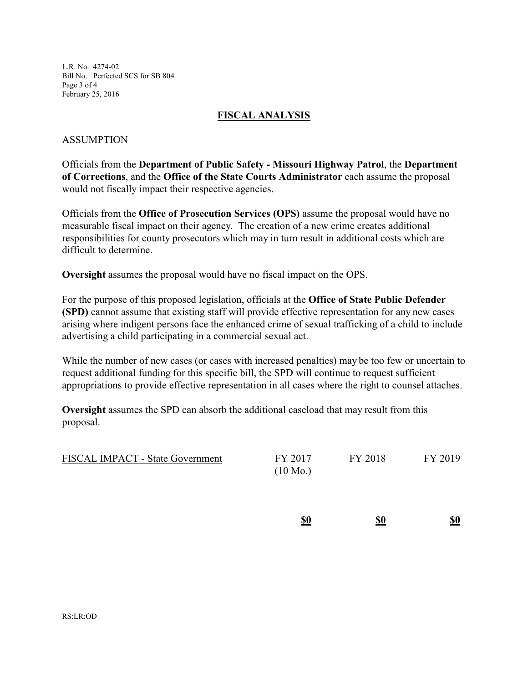L.R. No. 4274-02 Bill No. Perfected SCS for SB 804 Page 3 of 4 February 25, 2016

### **FISCAL ANALYSIS**

### ASSUMPTION

Officials from the **Department of Public Safety - Missouri Highway Patrol**, the **Department of Corrections**, and the **Office of the State Courts Administrator** each assume the proposal would not fiscally impact their respective agencies.

Officials from the **Office of Prosecution Services (OPS)** assume the proposal would have no measurable fiscal impact on their agency. The creation of a new crime creates additional responsibilities for county prosecutors which may in turn result in additional costs which are difficult to determine.

**Oversight** assumes the proposal would have no fiscal impact on the OPS.

For the purpose of this proposed legislation, officials at the **Office of State Public Defender (SPD)** cannot assume that existing staff will provide effective representation for any new cases arising where indigent persons face the enhanced crime of sexual trafficking of a child to include advertising a child participating in a commercial sexual act.

While the number of new cases (or cases with increased penalties) may be too few or uncertain to request additional funding for this specific bill, the SPD will continue to request sufficient appropriations to provide effective representation in all cases where the right to counsel attaches.

**Oversight** assumes the SPD can absorb the additional caseload that may result from this proposal.

| <b>FISCAL IMPACT - State Government</b> | FY 2017            | FY 2018 | FY 2019 |
|-----------------------------------------|--------------------|---------|---------|
|                                         | $(10 \text{ Mo.})$ |         |         |

| <u>\$0</u> | \$0 | \$0 |
|------------|-----|-----|
| ___        |     |     |